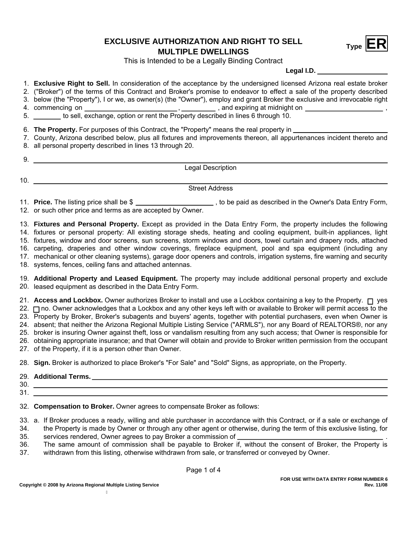## **EXCLUSIVE AUTHORIZATION AND RIGHT TO SELL**<br>MULTIPLE DWELLINGS



This is Intended to be a Legally Binding Contract

**Legal I.D.**

- 1. **Exclusive Right to Sell.** In consideration of the acceptance by the undersigned licensed Arizona real estate broker
- 2. ("Broker") of the terms of this Contract and Broker's promise to endeavor to effect a sale of the property described
- 3. below (the "Property"), I or we, as owner(s) (the "Owner"), employ and grant Broker the exclusive and irrevocable right
- commencing on , 4. , and expiring at midnight on ,
- 5. \_\_\_\_\_\_\_\_ to sell, exchange, option or rent the Property described in lines 6 through 10.
- 6. **The Property.** For purposes of this Contract, the "Property" means the real property in
- 7. County, Arizona described below, plus all fixtures and improvements thereon, all appurtenances incident thereto and
- 8. all personal property described in lines 13 through 20.
	- Legal Description
- 10.

9.

Street Address

11. **Price.** The listing price shall be \$ \_\_\_\_\_\_\_\_\_\_\_\_\_\_\_\_\_\_\_\_, to be paid as described in the Owner's Data Entry Form, 12. or such other price and terms as are accepted by Owner.

13. **Fixtures and Personal Property.** Except as provided in the Data Entry Form, the property includes the following 14. fixtures or personal property: All existing storage sheds, heating and cooling equipment, built-in appliances, light 15. fixtures, window and door screens, sun screens, storm windows and doors, towel curtain and drapery rods, attached

16. carpeting, draperies and other window coverings, fireplace equipment, pool and spa equipment (including any

17. mechanical or other cleaning systems), garage door openers and controls, irrigation systems, fire warning and security

18. systems, fences, ceiling fans and attached antennas.

19. **Additional Property and Leased Equipment.** The property may include additional personal property and exclude 20. leased equipment as described in the Data Entry Form.

21. **Access and Lockbox.** Owner authorizes Broker to install and use a Lockbox containing a key to the Property. □ yes 22. ⊟ no. Owner acknowledges that a Lockbox and any other keys left with or available to Broker will permit access to the 23. Property by Broker, Broker's subagents and buyers' agents, together with potential purchasers, even when Owner is 24. absent; that neither the Arizona Regional Multiple Listing Service ("ARMLS"), nor any Board of REALTORS®, nor any 25. broker is insuring Owner against theft, loss or vandalism resulting from any such access; that Owner is responsible for 26. obtaining appropriate insurance; and that Owner will obtain and provide to Broker written permission from the occupant

27. of the Property, if it is a person other than Owner.

28. **Sign.** Broker is authorized to place Broker's "For Sale" and "Sold" Signs, as appropriate, on the Property.

## 29. **Additional Terms.**

30. 31.

32. **Compensation to Broker.** Owner agrees to compensate Broker as follows:

33. a. If Broker produces a ready, willing and able purchaser in accordance with this Contract, or if a sale or exchange of 34. the Property is made by Owner or through any other agent or otherwise, during the term of this exclusive listing, for

- 35. services rendered, Owner agrees to pay Broker a commission of \_\_\_\_\_\_\_
- 36. The same amount of commission shall be payable to Broker if, without the consent of Broker, the Property is
- 37. withdrawn from this listing, otherwise withdrawn from sale, or transferred or conveyed by Owner.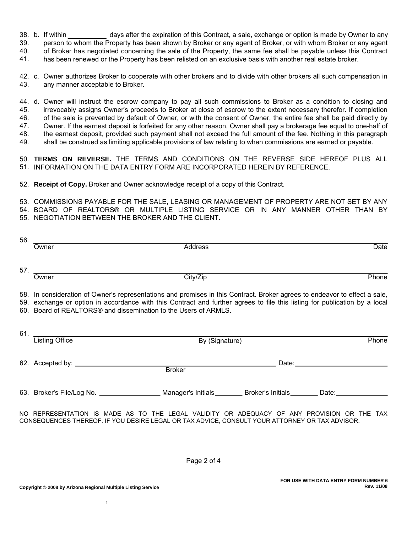38. b. If within days after the expiration of this Contract, a sale, exchange or option is made by Owner to any

39. person to whom the Property has been shown by Broker or any agent of Broker, or with whom Broker or any agent

40. of Broker has negotiated concerning the sale of the Property, the same fee shall be payable unless this Contract

41. has been renewed or the Property has been relisted on an exclusive basis with another real estate broker.

42. c. Owner authorizes Broker to cooperate with other brokers and to divide with other brokers all such compensation in 43. any manner acceptable to Broker.

44. d. Owner will instruct the escrow company to pay all such commissions to Broker as a condition to closing and 45. irrevocably assigns Owner's proceeds to Broker at close of escrow to the extent necessary therefor. If completion of the sale is prevented by default of Owner, or with the consent of Owner, the entire fee shall be paid directly by Owner. If the earnest deposit is forfeited for any other reason, Owner shall pay a brokerage fee equal to one-half of the earnest deposit, provided such payment shall not exceed the full amount of the fee. Nothing in this paragraph shall be construed as limiting applicable provisions of law relating to when commissions are earned or payable. 46. 47. 48. 49.

50. **TERMS ON REVERSE.** THE TERMS AND CONDITIONS ON THE REVERSE SIDE HEREOF PLUS ALL 51. INFORMATION ON THE DATA ENTRY FORM ARE INCORPORATED HEREIN BY REFERENCE.

52. **Receipt of Copy.** Broker and Owner acknowledge receipt of a copy of this Contract.

53. COMMISSIONS PAYABLE FOR THE SALE, LEASING OR MANAGEMENT OF PROPERTY ARE NOT SET BY ANY BOARD OF REALTORS® OR MULTIPLE LISTING SERVICE OR IN ANY MANNER OTHER THAN BY 54. 55. NEGOTIATION BETWEEN THE BROKER AND THE CLIENT.

| 56. | Owner                                                                                                                                                                                                                                                                                                                       | Address                                                                                                          | Date                                                                                                                                                                                                                           |
|-----|-----------------------------------------------------------------------------------------------------------------------------------------------------------------------------------------------------------------------------------------------------------------------------------------------------------------------------|------------------------------------------------------------------------------------------------------------------|--------------------------------------------------------------------------------------------------------------------------------------------------------------------------------------------------------------------------------|
|     | 57. $\qquad \qquad$<br>Owner                                                                                                                                                                                                                                                                                                | City/Zip                                                                                                         | Phone                                                                                                                                                                                                                          |
|     | 58. In consideration of Owner's representations and promises in this Contract. Broker agrees to endeavor to effect a sale,<br>59. exchange or option in accordance with this Contract and further agrees to file this listing for publication by a local<br>60. Board of REALTORS® and dissemination to the Users of ARMLS. |                                                                                                                  |                                                                                                                                                                                                                                |
|     | Listing Office                                                                                                                                                                                                                                                                                                              | By (Signature)                                                                                                   | Phone                                                                                                                                                                                                                          |
|     |                                                                                                                                                                                                                                                                                                                             | <b>Broker</b>                                                                                                    | Date: the contract of the contract of the contract of the contract of the contract of the contract of the contract of the contract of the contract of the contract of the contract of the contract of the contract of the cont |
|     |                                                                                                                                                                                                                                                                                                                             | 63. Broker's File/Log No. _____________________Manager's Initials_________Broker's Initials_________ Date:______ |                                                                                                                                                                                                                                |

NO REPRESENTATION IS MADE AS TO THE LEGAL VALIDITY OR ADEQUACY OF ANY PROVISION OR THE TAX CONSEQUENCES THEREOF. IF YOU DESIRE LEGAL OR TAX ADVICE, CONSULT YOUR ATTORNEY OR TAX ADVISOR.

Page 2 of 4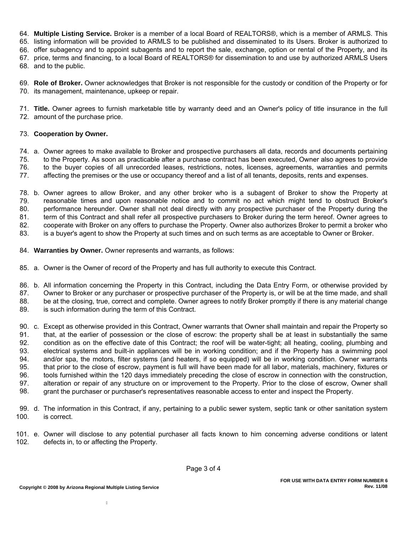64. **Multiple Listing Service.** Broker is a member of a local Board of REALTORS®, which is a member of ARMLS. This

65. listing information will be provided to ARMLS to be published and disseminated to its Users. Broker is authorized to

66. offer subagency and to appoint subagents and to report the sale, exchange, option or rental of the Property, and its

67. price, terms and financing, to a local Board of REALTORS® for dissemination to and use by authorized ARMLS Users

68. and to the public.

69. **Role of Broker.** Owner acknowledges that Broker is not responsible for the custody or condition of the Property or for 70. its management, maintenance, upkeep or repair.

71. **Title.** Owner agrees to furnish marketable title by warranty deed and an Owner's policy of title insurance in the full 72. amount of the purchase price.

## 73. **Cooperation by Owner.**

74. a. Owner agrees to make available to Broker and prospective purchasers all data, records and documents pertaining 75. 76. to the Property. As soon as practicable after a purchase contract has been executed, Owner also agrees to provide

to the buyer copies of all unrecorded leases, restrictions, notes, licenses, agreements, warranties and permits 77. affecting the premises or the use or occupancy thereof and a list of all tenants, deposits, rents and expenses.

78. b. Owner agrees to allow Broker, and any other broker who is a subagent of Broker to show the Property at 79. 80. reasonable times and upon reasonable notice and to commit no act which might tend to obstruct Broker's performance hereunder. Owner shall not deal directly with any prospective purchaser of the Property during the term of this Contract and shall refer all prospective purchasers to Broker during the term hereof. Owner agrees to cooperate with Broker on any offers to purchase the Property. Owner also authorizes Broker to permit a broker who is a buyer's agent to show the Property at such times and on such terms as are acceptable to Owner or Broker. 81. 82. 83.

- 84. **Warranties by Owner.** Owner represents and warrants, as follows:
- 85. a. Owner is the Owner of record of the Property and has full authority to execute this Contract.
- 86. b. All information concerning the Property in this Contract, including the Data Entry Form, or otherwise provided by

Owner to Broker or any purchaser or prospective purchaser of the Property is, or will be at the time made, and shall be at the closing, true, correct and complete. Owner agrees to notify Broker promptly if there is any material change 87. 88.

- is such information during the term of this Contract. 89.
- 90. c. Except as otherwise provided in this Contract, Owner warrants that Owner shall maintain and repair the Property so that, at the earlier of possession or the close of escrow: the property shall be at least in substantially the same condition as on the effective date of this Contract; the roof will be water-tight; all heating, cooling, plumbing and electrical systems and built-in appliances will be in working condition; and if the Property has a swimming pool and/or spa, the motors, filter systems (and heaters, if so equipped) will be in working condition. Owner warrants that prior to the close of escrow, payment is full will have been made for all labor, materials, machinery, fixtures or tools furnished within the 120 days immediately preceding the close of escrow in connection with the construction, alteration or repair of any structure on or improvement to the Property. Prior to the close of escrow, Owner shall grant the purchaser or purchaser's representatives reasonable access to enter and inspect the Property. 91. 92. 93. 94. 95. 96. 97. 98.
- 
- 99. d. The information in this Contract, if any, pertaining to a public sewer system, septic tank or other sanitation system 100. is correct.
- 101. e. Owner will disclose to any potential purchaser all facts known to him concerning adverse conditions or latent 102. defects in, to or affecting the Property.